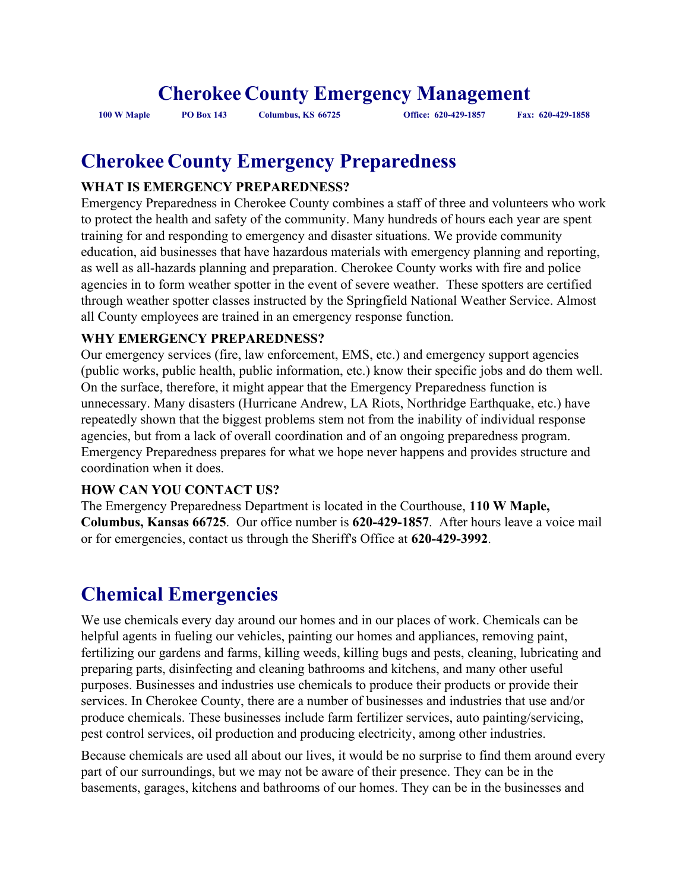# **Cherokee County Emergency Management**

**100 W Maple PO Box 143 Columbus, KS 66725 Office: 620-429-1857 Fax: 620-429-1858**

# **Cherokee County Emergency Preparedness**

#### **WHAT IS EMERGENCY PREPAREDNESS?**

Emergency Preparedness in Cherokee County combines a staff of three and volunteers who work to protect the health and safety of the community. Many hundreds of hours each year are spent training for and responding to emergency and disaster situations. We provide community education, aid businesses that have hazardous materials with emergency planning and reporting, as well as all-hazards planning and preparation. Cherokee County works with fire and police agencies in to form weather spotter in the event of severe weather. These spotters are certified through weather spotter classes instructed by the Springfield National Weather Service. Almost all County employees are trained in an emergency response function.

#### **WHY EMERGENCY PREPAREDNESS?**

Our emergency services (fire, law enforcement, EMS, etc.) and emergency support agencies (public works, public health, public information, etc.) know their specific jobs and do them well. On the surface, therefore, it might appear that the Emergency Preparedness function is unnecessary. Many disasters (Hurricane Andrew, LA Riots, Northridge Earthquake, etc.) have repeatedly shown that the biggest problems stem not from the inability of individual response agencies, but from a lack of overall coordination and of an ongoing preparedness program. Emergency Preparedness prepares for what we hope never happens and provides structure and coordination when it does.

#### **HOW CAN YOU CONTACT US?**

The Emergency Preparedness Department is located in the Courthouse, **110 W Maple, Columbus, Kansas 66725**. Our office number is **620-429-1857**. After hours leave a voice mail or for emergencies, contact us through the Sheriff's Office at **620-429-3992**.

# **Chemical Emergencies**

We use chemicals every day around our homes and in our places of work. Chemicals can be helpful agents in fueling our vehicles, painting our homes and appliances, removing paint, fertilizing our gardens and farms, killing weeds, killing bugs and pests, cleaning, lubricating and preparing parts, disinfecting and cleaning bathrooms and kitchens, and many other useful purposes. Businesses and industries use chemicals to produce their products or provide their services. In Cherokee County, there are a number of businesses and industries that use and/or produce chemicals. These businesses include farm fertilizer services, auto painting/servicing, pest control services, oil production and producing electricity, among other industries.

Because chemicals are used all about our lives, it would be no surprise to find them around every part of our surroundings, but we may not be aware of their presence. They can be in the basements, garages, kitchens and bathrooms of our homes. They can be in the businesses and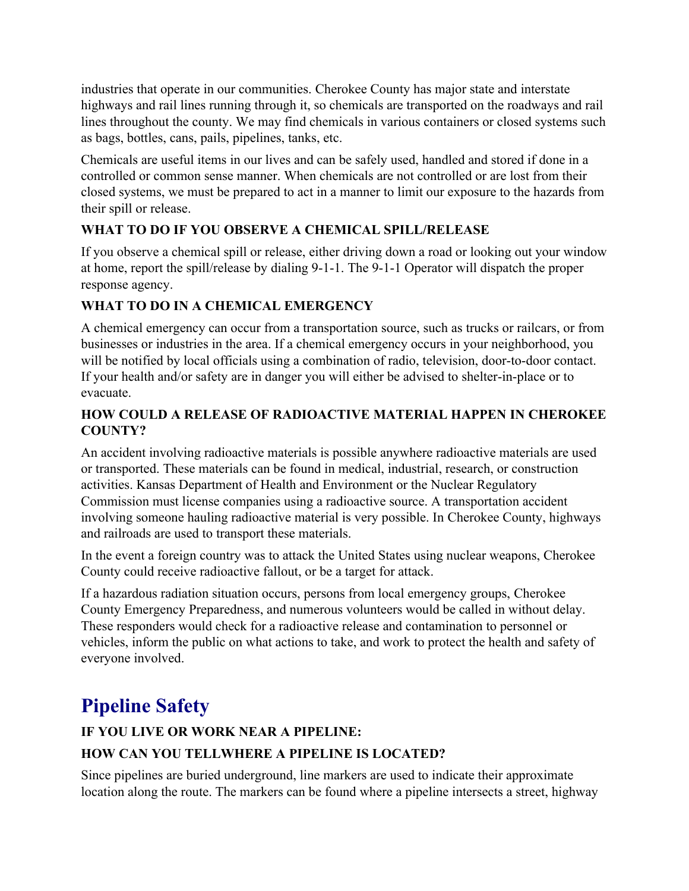industries that operate in our communities. Cherokee County has major state and interstate highways and rail lines running through it, so chemicals are transported on the roadways and rail lines throughout the county. We may find chemicals in various containers or closed systems such as bags, bottles, cans, pails, pipelines, tanks, etc.

Chemicals are useful items in our lives and can be safely used, handled and stored if done in a controlled or common sense manner. When chemicals are not controlled or are lost from their closed systems, we must be prepared to act in a manner to limit our exposure to the hazards from their spill or release.

#### **WHAT TO DO IF YOU OBSERVE A CHEMICAL SPILL/RELEASE**

If you observe a chemical spill or release, either driving down a road or looking out your window at home, report the spill/release by dialing 9-1-1. The 9-1-1 Operator will dispatch the proper response agency.

#### **WHAT TO DO IN A CHEMICAL EMERGENCY**

A chemical emergency can occur from a transportation source, such as trucks or railcars, or from businesses or industries in the area. If a chemical emergency occurs in your neighborhood, you will be notified by local officials using a combination of radio, television, door-to-door contact. If your health and/or safety are in danger you will either be advised to shelter-in-place or to evacuate.

#### **HOW COULD A RELEASE OF RADIOACTIVE MATERIAL HAPPEN IN CHEROKEE COUNTY?**

An accident involving radioactive materials is possible anywhere radioactive materials are used or transported. These materials can be found in medical, industrial, research, or construction activities. Kansas Department of Health and Environment or the Nuclear Regulatory Commission must license companies using a radioactive source. A transportation accident involving someone hauling radioactive material is very possible. In Cherokee County, highways and railroads are used to transport these materials.

In the event a foreign country was to attack the United States using nuclear weapons, Cherokee County could receive radioactive fallout, or be a target for attack.

If a hazardous radiation situation occurs, persons from local emergency groups, Cherokee County Emergency Preparedness, and numerous volunteers would be called in without delay. These responders would check for a radioactive release and contamination to personnel or vehicles, inform the public on what actions to take, and work to protect the health and safety of everyone involved.

# **Pipeline Safety**

# **IF YOU LIVE OR WORK NEAR A PIPELINE:**

#### **HOW CAN YOU TELLWHERE A PIPELINE IS LOCATED?**

Since pipelines are buried underground, line markers are used to indicate their approximate location along the route. The markers can be found where a pipeline intersects a street, highway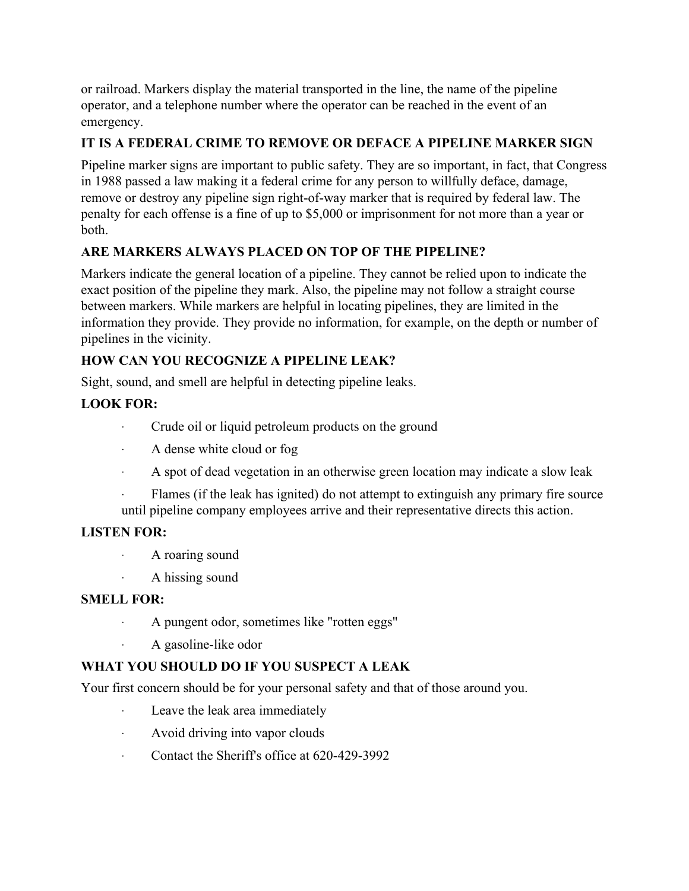or railroad. Markers display the material transported in the line, the name of the pipeline operator, and a telephone number where the operator can be reached in the event of an emergency.

## **IT IS A FEDERAL CRIME TO REMOVE OR DEFACE A PIPELINE MARKER SIGN**

Pipeline marker signs are important to public safety. They are so important, in fact, that Congress in 1988 passed a law making it a federal crime for any person to willfully deface, damage, remove or destroy any pipeline sign right-of-way marker that is required by federal law. The penalty for each offense is a fine of up to \$5,000 or imprisonment for not more than a year or both.

#### **ARE MARKERS ALWAYS PLACED ON TOP OF THE PIPELINE?**

Markers indicate the general location of a pipeline. They cannot be relied upon to indicate the exact position of the pipeline they mark. Also, the pipeline may not follow a straight course between markers. While markers are helpful in locating pipelines, they are limited in the information they provide. They provide no information, for example, on the depth or number of pipelines in the vicinity.

#### **HOW CAN YOU RECOGNIZE A PIPELINE LEAK?**

Sight, sound, and smell are helpful in detecting pipeline leaks.

## **LOOK FOR:**

- · Crude oil or liquid petroleum products on the ground
- · A dense white cloud or fog
- · A spot of dead vegetation in an otherwise green location may indicate a slow leak
- Flames (if the leak has ignited) do not attempt to extinguish any primary fire source until pipeline company employees arrive and their representative directs this action.

#### **LISTEN FOR:**

- · A roaring sound
- · A hissing sound

#### **SMELL FOR:**

- · A pungent odor, sometimes like "rotten eggs"
- A gasoline-like odor

## **WHAT YOU SHOULD DO IF YOU SUSPECT A LEAK**

Your first concern should be for your personal safety and that of those around you.

- Leave the leak area immediately
- · Avoid driving into vapor clouds
- · Contact the Sheriff's office at 620-429-3992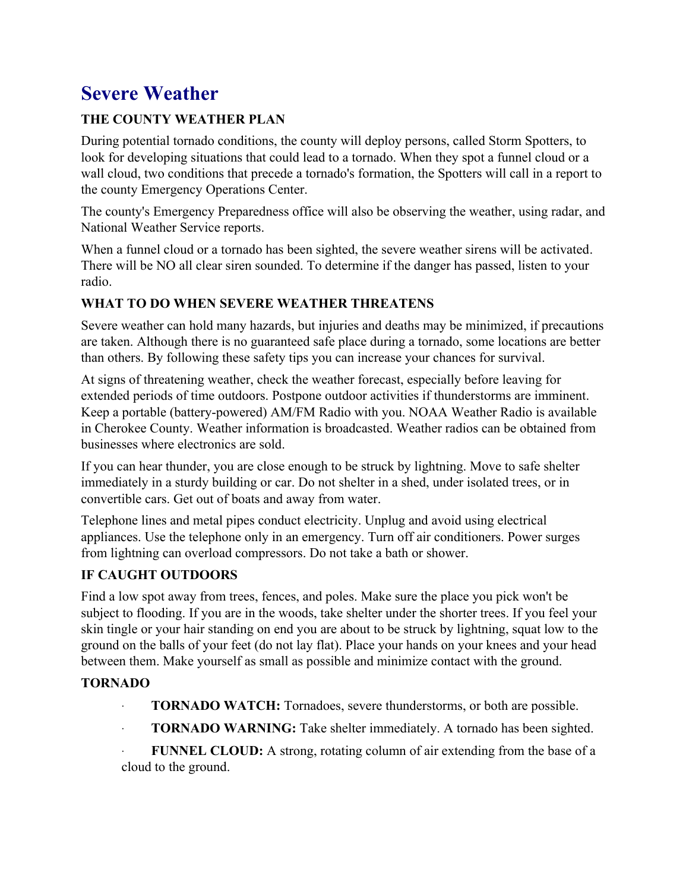# **Severe Weather**

## **THE COUNTY WEATHER PLAN**

During potential tornado conditions, the county will deploy persons, called Storm Spotters, to look for developing situations that could lead to a tornado. When they spot a funnel cloud or a wall cloud, two conditions that precede a tornado's formation, the Spotters will call in a report to the county Emergency Operations Center.

The county's Emergency Preparedness office will also be observing the weather, using radar, and National Weather Service reports.

When a funnel cloud or a tornado has been sighted, the severe weather sirens will be activated. There will be NO all clear siren sounded. To determine if the danger has passed, listen to your radio.

#### **WHAT TO DO WHEN SEVERE WEATHER THREATENS**

Severe weather can hold many hazards, but injuries and deaths may be minimized, if precautions are taken. Although there is no guaranteed safe place during a tornado, some locations are better than others. By following these safety tips you can increase your chances for survival.

At signs of threatening weather, check the weather forecast, especially before leaving for extended periods of time outdoors. Postpone outdoor activities if thunderstorms are imminent. Keep a portable (battery-powered) AM/FM Radio with you. NOAA Weather Radio is available in Cherokee County. Weather information is broadcasted. Weather radios can be obtained from businesses where electronics are sold.

If you can hear thunder, you are close enough to be struck by lightning. Move to safe shelter immediately in a sturdy building or car. Do not shelter in a shed, under isolated trees, or in convertible cars. Get out of boats and away from water.

Telephone lines and metal pipes conduct electricity. Unplug and avoid using electrical appliances. Use the telephone only in an emergency. Turn off air conditioners. Power surges from lightning can overload compressors. Do not take a bath or shower.

#### **IF CAUGHT OUTDOORS**

Find a low spot away from trees, fences, and poles. Make sure the place you pick won't be subject to flooding. If you are in the woods, take shelter under the shorter trees. If you feel your skin tingle or your hair standing on end you are about to be struck by lightning, squat low to the ground on the balls of your feet (do not lay flat). Place your hands on your knees and your head between them. Make yourself as small as possible and minimize contact with the ground.

#### **TORNADO**

- · **TORNADO WATCH:** Tornadoes, severe thunderstorms, or both are possible.
- **TORNADO WARNING:** Take shelter immediately. A tornado has been sighted.
- **FUNNEL CLOUD:** A strong, rotating column of air extending from the base of a cloud to the ground.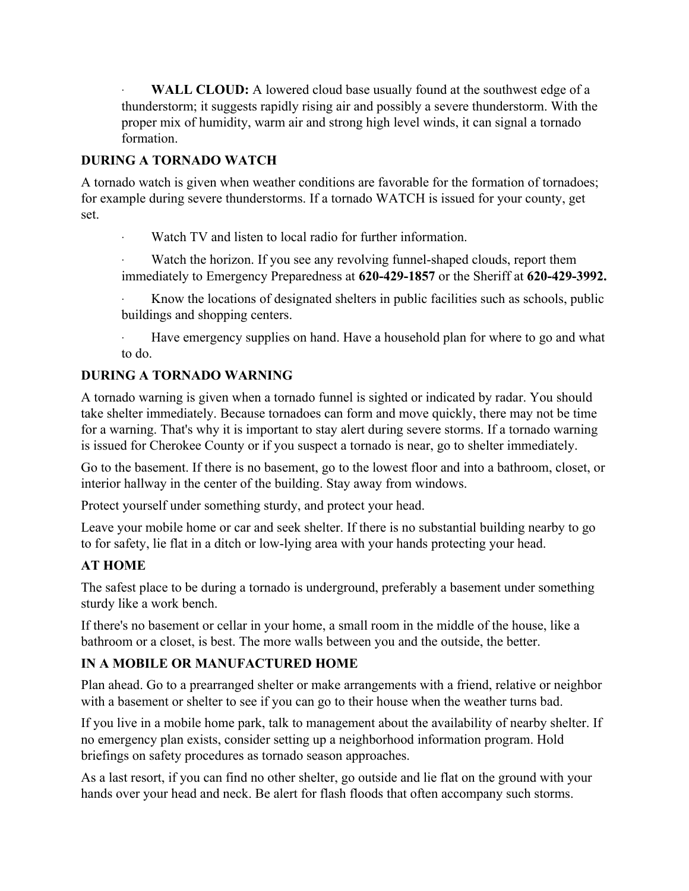**WALL CLOUD:** A lowered cloud base usually found at the southwest edge of a thunderstorm; it suggests rapidly rising air and possibly a severe thunderstorm. With the proper mix of humidity, warm air and strong high level winds, it can signal a tornado formation.

#### **DURING A TORNADO WATCH**

A tornado watch is given when weather conditions are favorable for the formation of tornadoes; for example during severe thunderstorms. If a tornado WATCH is issued for your county, get set.

Watch TV and listen to local radio for further information.

Watch the horizon. If you see any revolving funnel-shaped clouds, report them immediately to Emergency Preparedness at **620-429-1857** or the Sheriff at **620-429-3992.**

Know the locations of designated shelters in public facilities such as schools, public buildings and shopping centers.

Have emergency supplies on hand. Have a household plan for where to go and what to do.

#### **DURING A TORNADO WARNING**

A tornado warning is given when a tornado funnel is sighted or indicated by radar. You should take shelter immediately. Because tornadoes can form and move quickly, there may not be time for a warning. That's why it is important to stay alert during severe storms. If a tornado warning is issued for Cherokee County or if you suspect a tornado is near, go to shelter immediately.

Go to the basement. If there is no basement, go to the lowest floor and into a bathroom, closet, or interior hallway in the center of the building. Stay away from windows.

Protect yourself under something sturdy, and protect your head.

Leave your mobile home or car and seek shelter. If there is no substantial building nearby to go to for safety, lie flat in a ditch or low-lying area with your hands protecting your head.

#### **AT HOME**

The safest place to be during a tornado is underground, preferably a basement under something sturdy like a work bench.

If there's no basement or cellar in your home, a small room in the middle of the house, like a bathroom or a closet, is best. The more walls between you and the outside, the better.

#### **IN A MOBILE OR MANUFACTURED HOME**

Plan ahead. Go to a prearranged shelter or make arrangements with a friend, relative or neighbor with a basement or shelter to see if you can go to their house when the weather turns bad.

If you live in a mobile home park, talk to management about the availability of nearby shelter. If no emergency plan exists, consider setting up a neighborhood information program. Hold briefings on safety procedures as tornado season approaches.

As a last resort, if you can find no other shelter, go outside and lie flat on the ground with your hands over your head and neck. Be alert for flash floods that often accompany such storms.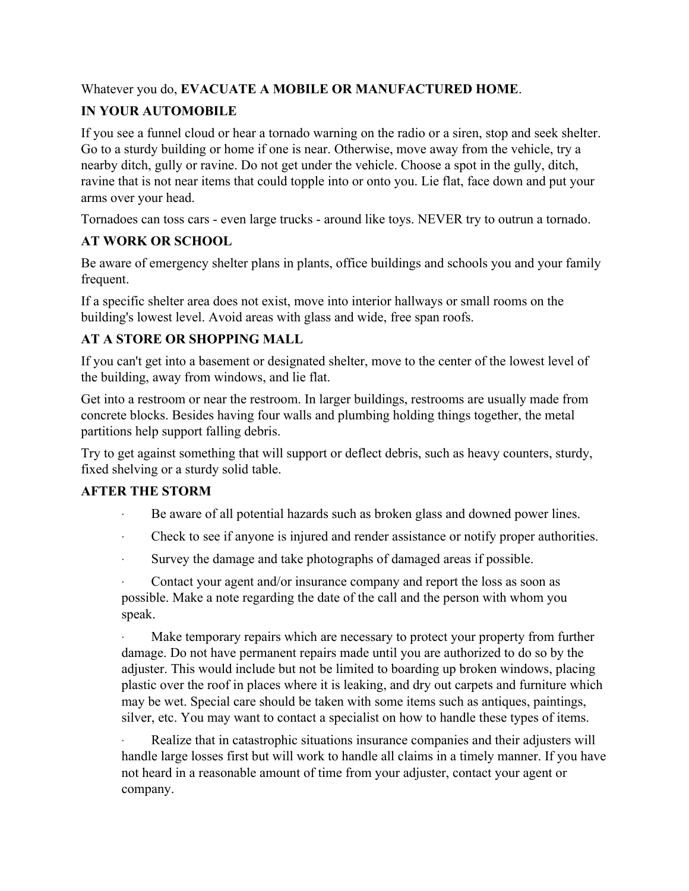Whatever you do, **EVACUATE A MOBILE OR MANUFACTURED HOME**.

# **IN YOUR AUTOMOBILE**

If you see a funnel cloud or hear a tornado warning on the radio or a siren, stop and seek shelter. Go to a sturdy building or home if one is near. Otherwise, move away from the vehicle, try a nearby ditch, gully or ravine. Do not get under the vehicle. Choose a spot in the gully, ditch, ravine that is not near items that could topple into or onto you. Lie flat, face down and put your arms over your head.

Tornadoes can toss cars - even large trucks - around like toys. NEVER try to outrun a tornado.

# **AT WORK OR SCHOOL**

Be aware of emergency shelter plans in plants, office buildings and schools you and your family frequent.

If a specific shelter area does not exist, move into interior hallways or small rooms on the building's lowest level. Avoid areas with glass and wide, free span roofs.

# **AT A STORE OR SHOPPING MALL**

If you can't get into a basement or designated shelter, move to the center of the lowest level of the building, away from windows, and lie flat.

Get into a restroom or near the restroom. In larger buildings, restrooms are usually made from concrete blocks. Besides having four walls and plumbing holding things together, the metal partitions help support falling debris.

Try to get against something that will support or deflect debris, such as heavy counters, sturdy, fixed shelving or a sturdy solid table.

## **AFTER THE STORM**

- Be aware of all potential hazards such as broken glass and downed power lines.
- · Check to see if anyone is injured and render assistance or notify proper authorities.
- · Survey the damage and take photographs of damaged areas if possible.

· Contact your agent and/or insurance company and report the loss as soon as possible. Make a note regarding the date of the call and the person with whom you speak.

Make temporary repairs which are necessary to protect your property from further damage. Do not have permanent repairs made until you are authorized to do so by the adjuster. This would include but not be limited to boarding up broken windows, placing plastic over the roof in places where it is leaking, and dry out carpets and furniture which may be wet. Special care should be taken with some items such as antiques, paintings, silver, etc. You may want to contact a specialist on how to handle these types of items.

Realize that in catastrophic situations insurance companies and their adjusters will handle large losses first but will work to handle all claims in a timely manner. If you have not heard in a reasonable amount of time from your adjuster, contact your agent or company.